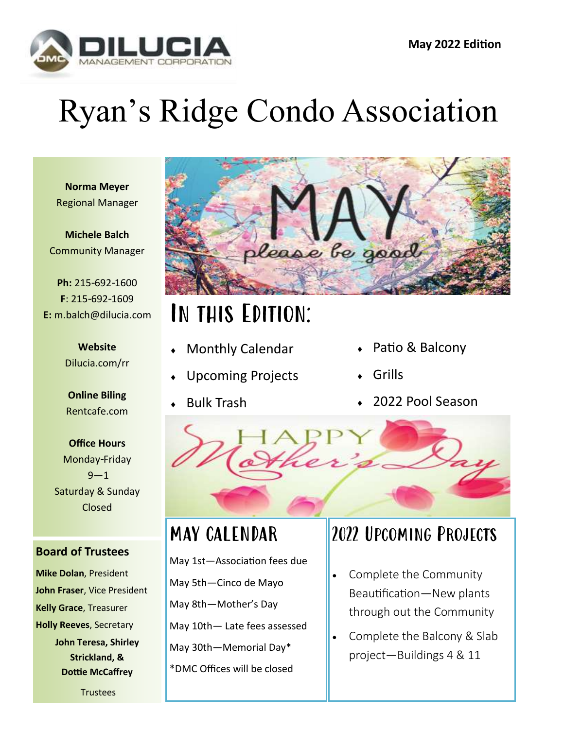

# Ryan's Ridge Condo Association

**Norma Meyer** Regional Manager

**Michele Balch** Community Manager

**Ph:** 215-692-1600 **F**: 215-692-1609 **E:** m.balch@dilucia.com

> **Website** Dilucia.com/rr

**Online Biling** Rentcafe.com

**Office Hours** Monday-Friday  $9 - 1$ Saturday & Sunday Closed

#### **Board of Trustees**

**Mike Dolan**, President **John Fraser**, Vice President **Kelly Grace**, Treasurer **Holly Reeves**, Secretary **John Teresa, Shirley Strickland, & Dottie McCaffrey**

**Trustees** 



## In this Edition:

- Monthly Calendar
- Upcoming Projects
- Bulk Trash
- Patio & Balcony
- Grills
- 2022 Pool Season



#### MAY CALENDAR

May 1st—Association fees due May 5th—Cinco de Mayo May 8th—Mother's Day May 10th— Late fees assessed May 30th—Memorial Day\* \*DMC Offices will be closed

#### 2022 Upcoming Projects

- Complete the Community Beautification—New plants through out the Community
- Complete the Balcony & Slab project—Buildings 4 & 11